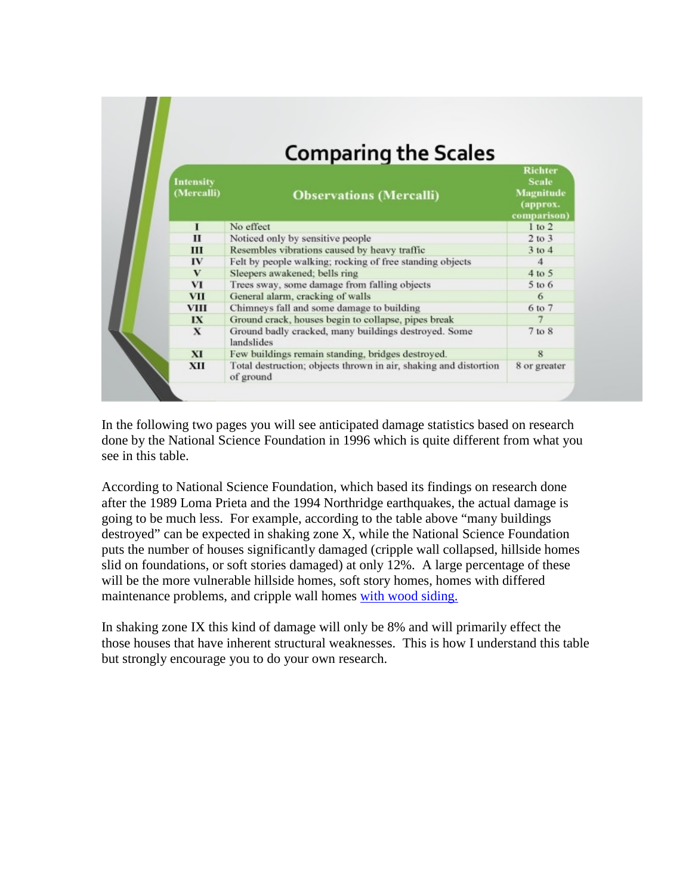| <b>Comparing the Scales</b>    |                                                                               |                                                                               |  |  |  |  |  |
|--------------------------------|-------------------------------------------------------------------------------|-------------------------------------------------------------------------------|--|--|--|--|--|
| <b>Intensity</b><br>(Mercalli) | <b>Observations (Mercalli)</b>                                                | <b>Richter</b><br><b>Scale</b><br><b>Magnitude</b><br>(approx.<br>comparison) |  |  |  |  |  |
| 1                              | No effect                                                                     | $1$ to $2$                                                                    |  |  |  |  |  |
| $\mathbf{H}$                   | Noticed only by sensitive people                                              | $2$ to $3$                                                                    |  |  |  |  |  |
| Ш                              | Resembles vibrations caused by heavy traffic                                  | $3$ to $4$                                                                    |  |  |  |  |  |
| IV                             | Felt by people walking; rocking of free standing objects                      | $\boldsymbol{A}$                                                              |  |  |  |  |  |
| V                              | Sleepers awakened; bells ring                                                 | 4 to 5                                                                        |  |  |  |  |  |
| VI                             | Trees sway, some damage from falling objects                                  | $5$ to $6$                                                                    |  |  |  |  |  |
| <b>VII</b>                     | General alarm, cracking of walls                                              | 6                                                                             |  |  |  |  |  |
| <b>VIII</b>                    | Chimneys fall and some damage to building                                     | 6 to 7                                                                        |  |  |  |  |  |
| IX                             | Ground crack, houses begin to collapse, pipes break                           |                                                                               |  |  |  |  |  |
| $\mathbf x$                    | Ground badly cracked, many buildings destroyed. Some<br>landslides            | 7 to 8                                                                        |  |  |  |  |  |
| XI                             | Few buildings remain standing, bridges destroyed.                             | $\mathbf R$                                                                   |  |  |  |  |  |
| XII                            | Total destruction; objects thrown in air, shaking and distortion<br>of ground | 8 or greater                                                                  |  |  |  |  |  |

In the following two pages you will see anticipated damage statistics based on research done by the National Science Foundation in 1996 which is quite different from what you see in this table.

According to National Science Foundation, which based its findings on research done after the 1989 Loma Prieta and the 1994 Northridge earthquakes, the actual damage is going to be much less. For example, according to the table above "many buildings destroyed" can be expected in shaking zone X, while the National Science Foundation puts the number of houses significantly damaged (cripple wall collapsed, hillside homes slid on foundations, or soft stories damaged) at only 12%. A large percentage of these will be the more vulnerable hillside homes, soft story homes, homes with differed maintenance problems, and cripple wall homes with wood siding.

In shaking zone IX this kind of damage will only be 8% and will primarily effect the those houses that have inherent structural weaknesses. This is how I understand this table but strongly encourage you to do your own research.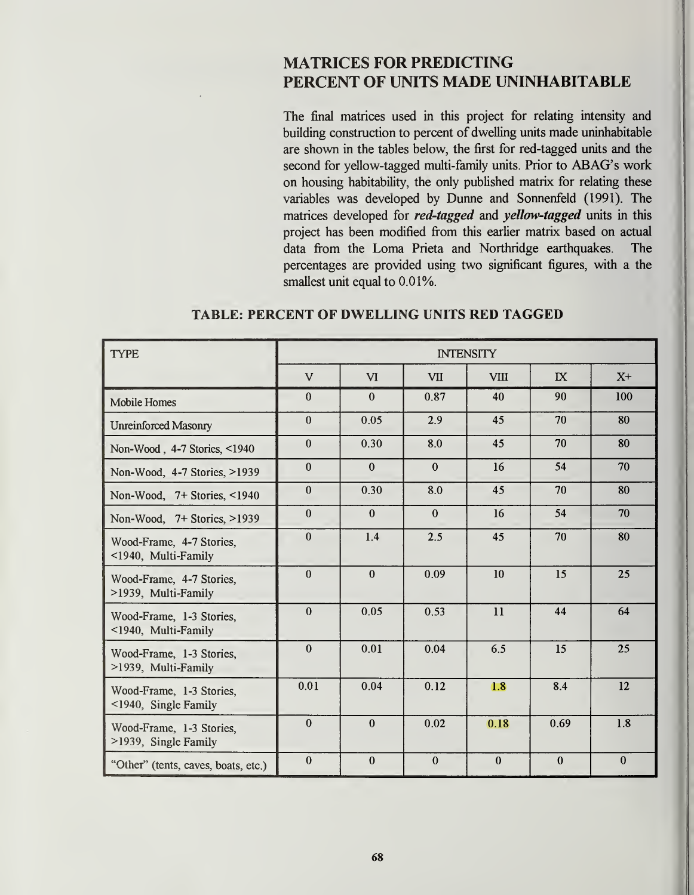## MATRICES FOR PREDICTING PERCENT OF UNITS MADE UNINHABITABLE

The final matrices used in this project for relating intensity and building construction to percent of dwelling units made uninhabitable are shown in the tables below, the first for red-tagged units and the second for yellow-tagged multi-family units. Prior to ABAG's work on housing habitability, the only published matrix for relating these variables was developed by Dunne and Sonnenfeld (1991). The matrices developed for *red-tagged* and *yellow-tagged* units in this project has been modified from this earlier matrix based on actual data from the Loma Prieta and Northridge earthquakes. The percentages are provided using two significant figures, with a the smallest unit equal to 0.01%.

| <b>TYPE</b>                                            | <b>INTENSITY</b> |                |              |              |              |              |  |
|--------------------------------------------------------|------------------|----------------|--------------|--------------|--------------|--------------|--|
|                                                        | $\mathbf{V}$     | $\overline{M}$ | <b>VII</b>   | <b>VIII</b>  | $\mathbf{I}$ | $X+$         |  |
| <b>Mobile Homes</b>                                    | $\mathbf{0}$     | $\bf{0}$       | 0.87         | 40           | 90           | 100          |  |
| <b>Unreinforced Masonry</b>                            | $\mathbf{0}$     | 0.05           | 2.9          | 45           | 70           | 80           |  |
| Non-Wood, 4-7 Stories, <1940                           | $\theta$         | 0.30           | 8.0          | 45           | 70           | 80           |  |
| Non-Wood, 4-7 Stories, >1939                           | $\mathbf{0}$     | $\mathbf{0}$   | $\bf{0}$     | 16           | 54           | 70           |  |
| Non-Wood, 7+ Stories, <1940                            | $\mathbf{0}$     | 0.30           | 8.0          | 45           | 70           | 80           |  |
| Non-Wood, 7+ Stories, >1939                            | $\boldsymbol{0}$ | $\mathbf{0}$   | $\mathbf{0}$ | 16           | 54           | 70           |  |
| Wood-Frame, 4-7 Stories,<br><1940, Multi-Family        | $\theta$         | 1.4            | 2.5          | 45           | 70           | 80           |  |
| Wood-Frame, 4-7 Stories,<br>>1939, Multi-Family        | $\mathbf{0}$     | $\mathbf{0}$   | 0.09         | 10           | 15           | 25           |  |
| Wood-Frame, 1-3 Stories,<br><1940, Multi-Family        | $\mathbf{0}$     | 0.05           | 0.53         | 11           | 44           | 64           |  |
| Wood-Frame, 1-3 Stories,<br>>1939, Multi-Family        | $\theta$         | 0.01           | 0.04         | 6.5          | 15           | 25           |  |
| Wood-Frame, 1-3 Stories,<br>$\leq$ 1940, Single Family | 0.01             | 0.04           | 0.12         | 1.8          | 8.4          | 12           |  |
| Wood-Frame, 1-3 Stories,<br>>1939, Single Family       | $\mathbf{0}$     | $\Omega$       | 0.02         | 0.18         | 0.69         | 1.8          |  |
| "Other" (tents, caves, boats, etc.)                    | $\mathbf{0}$     | $\bf{0}$       | $\mathbf{0}$ | $\mathbf{0}$ | $\bf{0}$     | $\mathbf{0}$ |  |

## TABLE: PERCENT OF DWELLING UNITS RED TAGGED